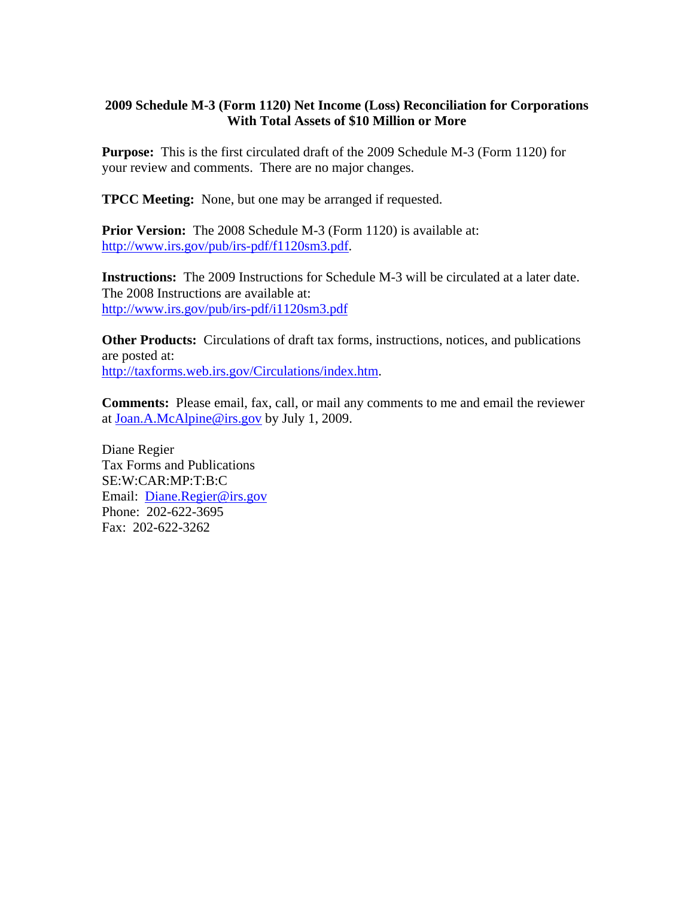## **2009 Schedule M-3 (Form 1120) Net Income (Loss) Reconciliation for Corporations With Total Assets of \$10 Million or More**

**Purpose:** This is the first circulated draft of the 2009 Schedule M-3 (Form 1120) for your review and comments. There are no major changes.

**TPCC Meeting:** None, but one may be arranged if requested.

**Prior Version:** The 2008 Schedule M-3 (Form 1120) is available at: [http://www.irs.gov/pub/irs-pdf/f1120sm3.pdf.](http://www.irs.gov/pub/irs-pdf/f1120sm3.pdf)

**Instructions:** The 2009 Instructions for Schedule M-3 will be circulated at a later date. The 2008 Instructions are available at: <http://www.irs.gov/pub/irs-pdf/i1120sm3.pdf>

**Other Products:** Circulations of draft tax forms, instructions, notices, and publications are posted at: [http://taxforms.web.irs.gov/Circulations/index.htm.](http://taxforms.web.irs.gov/Circulations/index.htm)

**Comments:** Please email, fax, call, or mail any comments to me and email the reviewer at [Joan.A.McAlpine@irs.gov](mailto:Joan.A.McAlpine@irs.gov) by July 1, 2009.

Diane Regier Tax Forms and Publications SE:W:CAR:MP:T:B:C Email: [Diane.Regier@irs.gov](mailto:Diane.Regier@irs.gov) Phone: 202-622-3695 Fax: 202-622-3262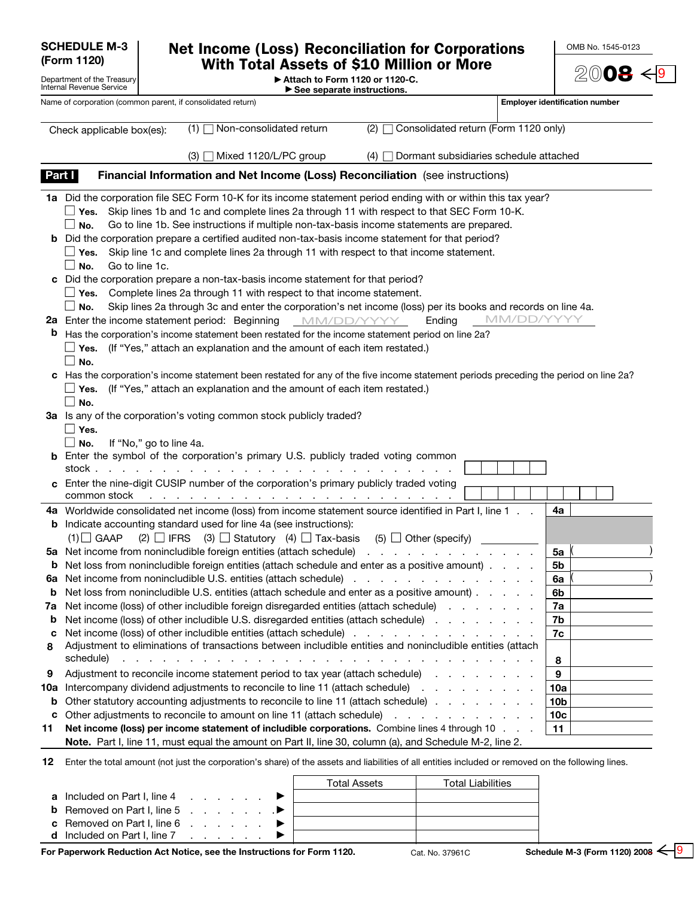|                                                                       | <b>SCHEDULE M-3</b>                                                       |                                                                                                                                                                                                                                                                                                                                                                                                                                                                                                                                  | <b>Net Income (Loss) Reconciliation for Corporations</b> |                                        | OMB No. 1545-0123                        |
|-----------------------------------------------------------------------|---------------------------------------------------------------------------|----------------------------------------------------------------------------------------------------------------------------------------------------------------------------------------------------------------------------------------------------------------------------------------------------------------------------------------------------------------------------------------------------------------------------------------------------------------------------------------------------------------------------------|----------------------------------------------------------|----------------------------------------|------------------------------------------|
| (Form 1120)<br>Department of the Treasury<br>Internal Revenue Service |                                                                           | <b>With Total Assets of \$10 Million or More</b><br>Attach to Form 1120 or 1120-C.                                                                                                                                                                                                                                                                                                                                                                                                                                               | 2008                                                     |                                        |                                          |
|                                                                       |                                                                           | Name of corporation (common parent, if consolidated return)                                                                                                                                                                                                                                                                                                                                                                                                                                                                      | $\blacktriangleright$ See separate instructions.         |                                        | <b>Employer identification number</b>    |
|                                                                       | Check applicable box(es):                                                 | Non-consolidated return<br>$(1)$                                                                                                                                                                                                                                                                                                                                                                                                                                                                                                 | (2)                                                      | Consolidated return (Form 1120 only)   |                                          |
|                                                                       |                                                                           | Mixed 1120/L/PC group<br>(3)                                                                                                                                                                                                                                                                                                                                                                                                                                                                                                     | (4)                                                      | Dormant subsidiaries schedule attached |                                          |
| Part I                                                                |                                                                           | Financial Information and Net Income (Loss) Reconciliation (see instructions)                                                                                                                                                                                                                                                                                                                                                                                                                                                    |                                                          |                                        |                                          |
|                                                                       | <b>_</b> Yes.<br>$\Box$<br>No.<br>Yes.<br>Go to line 1c.<br>No.<br>$\Box$ | 1a Did the corporation file SEC Form 10-K for its income statement period ending with or within this tax year?<br>Skip lines 1b and 1c and complete lines 2a through 11 with respect to that SEC Form 10-K.<br>Go to line 1b. See instructions if multiple non-tax-basis income statements are prepared.<br><b>b</b> Did the corporation prepare a certified audited non-tax-basis income statement for that period?<br>Skip line 1c and complete lines 2a through 11 with respect to that income statement.                     |                                                          |                                        |                                          |
| b                                                                     | $\Box$<br>No.<br>$\Box$ No.                                               | c Did the corporation prepare a non-tax-basis income statement for that period?<br>$\Box$ Yes. Complete lines 2a through 11 with respect to that income statement.<br>Skip lines 2a through 3c and enter the corporation's net income (loss) per its books and records on line 4a.<br>2a Enter the income statement period: Beginning<br>Has the corporation's income statement been restated for the income statement period on line 2a?<br>$\Box$ Yes. (If "Yes," attach an explanation and the amount of each item restated.) | MM/DD/YYYY                                               | MM/DD/YYYY<br>Ending                   |                                          |
|                                                                       | $\Box$ No.<br>$\Box$ Yes.<br>No.<br>stock.                                | c Has the corporation's income statement been restated for any of the five income statement periods preceding the period on line 2a?<br>$\Box$ Yes. (If "Yes," attach an explanation and the amount of each item restated.)<br>3a Is any of the corporation's voting common stock publicly traded?<br>If "No," go to line 4a.<br><b>b</b> Enter the symbol of the corporation's primary U.S. publicly traded voting common                                                                                                       |                                                          |                                        |                                          |
|                                                                       | common stock                                                              | Enter the nine-digit CUSIP number of the corporation's primary publicly traded voting<br>the contract of the contract of the contract of the contract of the                                                                                                                                                                                                                                                                                                                                                                     |                                                          |                                        |                                          |
|                                                                       | $(1)$ GAAP                                                                | 4a Worldwide consolidated net income (loss) from income statement source identified in Part I, line 1.<br><b>b</b> Indicate accounting standard used for line 4a (see instructions):<br>(2) $\Box$ IFRS (3) $\Box$ Statutory (4) $\Box$ Tax-basis (5) $\Box$ Other (specify)                                                                                                                                                                                                                                                     |                                                          |                                        | 4a                                       |
| b<br>6a<br>b                                                          |                                                                           | 5a Net income from nonincludible foreign entities (attach schedule)<br>Net loss from nonincludible foreign entities (attach schedule and enter as a positive amount).<br>Net income from nonincludible U.S. entities (attach schedule)<br>Net loss from nonincludible U.S. entities (attach schedule and enter as a positive amount)                                                                                                                                                                                             |                                                          |                                        | 5a<br>5b<br>6a<br>6b                     |
| 7a<br>b<br>c                                                          |                                                                           | Net income (loss) of other includible foreign disregarded entities (attach schedule)<br>Net income (loss) of other includible U.S. disregarded entities (attach schedule)<br>Net income (loss) of other includible entities (attach schedule)                                                                                                                                                                                                                                                                                    |                                                          |                                        | 7a<br>7b<br>7c                           |
| 8                                                                     | schedule)                                                                 | Adjustment to eliminations of transactions between includible entities and nonincludible entities (attach<br>and the contract of the contract of the contract of the contract of the contract of the contract of                                                                                                                                                                                                                                                                                                                 |                                                          |                                        | 8                                        |
| 9<br>10a<br>b<br>с<br>11                                              |                                                                           | Adjustment to reconcile income statement period to tax year (attach schedule)<br>Intercompany dividend adjustments to reconcile to line 11 (attach schedule)<br>Other statutory accounting adjustments to reconcile to line 11 (attach schedule)<br>Other adjustments to reconcile to amount on line 11 (attach schedule)<br>Net income (loss) per income statement of includible corporations. Combine lines 4 through 10                                                                                                       |                                                          |                                        | 9<br>10a<br>10b<br>10 <sub>c</sub><br>11 |
| 12                                                                    |                                                                           | Note. Part I, line 11, must equal the amount on Part II, line 30, column (a), and Schedule M-2, line 2.<br>Enter the total amount (not just the corporation's share) of the assets and liabilities of all entities included or removed on the following lines.                                                                                                                                                                                                                                                                   |                                                          |                                        |                                          |
|                                                                       |                                                                           |                                                                                                                                                                                                                                                                                                                                                                                                                                                                                                                                  | <b>Total Assets</b>                                      | <b>Total Liabilities</b>               |                                          |

|                                                                      |  |  |  | Total Assets | Total Liabilities |
|----------------------------------------------------------------------|--|--|--|--------------|-------------------|
| <b>a</b> Included on Part I, line 4 $\ldots$ , $\blacktriangleright$ |  |  |  |              |                   |
| <b>b</b> Removed on Part I, line 5 $\ldots$ $\ldots$                 |  |  |  |              |                   |
| <b>c</b> Removed on Part I, line 6 $\ldots$ $\ldots$                 |  |  |  |              |                   |
| <b>d</b> Included on Part I, line 7 $\ldots$ $\ldots$                |  |  |  |              |                   |
|                                                                      |  |  |  |              |                   |

**For Paperwork Reduction Act Notice, see the Instructions for Form 1120.** Cat. No. 37961C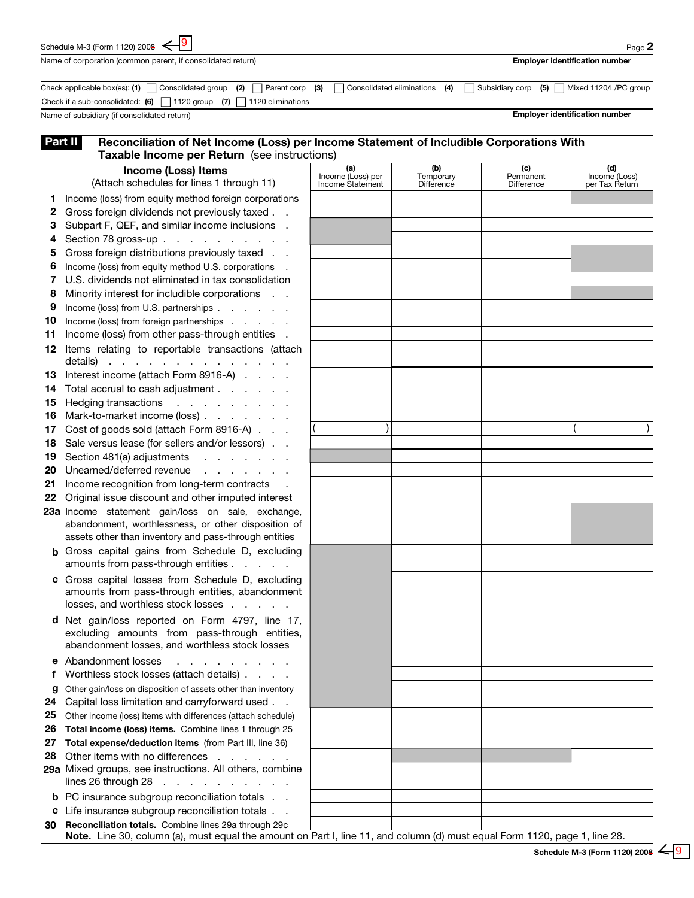|                                                                                                                                                     | 19<br>Schedule M-3 (Form 1120) 2008 $\leftarrow$                                                                           |                          |                               |                                       | Page 2                                      |  |  |  |
|-----------------------------------------------------------------------------------------------------------------------------------------------------|----------------------------------------------------------------------------------------------------------------------------|--------------------------|-------------------------------|---------------------------------------|---------------------------------------------|--|--|--|
|                                                                                                                                                     | Name of corporation (common parent, if consolidated return)                                                                |                          |                               | <b>Employer identification number</b> |                                             |  |  |  |
|                                                                                                                                                     | Check applicable box(es): (1) $\Box$ Consolidated group (2) $\Box$<br>Parent corp                                          | (3)                      | Consolidated eliminations (4) |                                       | Subsidiary corp (5)   Mixed 1120/L/PC group |  |  |  |
|                                                                                                                                                     | Check if a sub-consolidated: $(6)$ 1120 group (7)<br>1120 eliminations                                                     |                          |                               |                                       |                                             |  |  |  |
|                                                                                                                                                     | Name of subsidiary (if consolidated return)                                                                                |                          |                               | <b>Employer identification number</b> |                                             |  |  |  |
| Reconciliation of Net Income (Loss) per Income Statement of Includible Corporations With<br>Part II<br>Taxable Income per Return (see instructions) |                                                                                                                            |                          |                               |                                       |                                             |  |  |  |
|                                                                                                                                                     | <b>Income (Loss) Items</b>                                                                                                 | (a)<br>Income (Loss) per | (b)<br>Temporary              | (c)<br>Permanent                      | (d)<br>Income (Loss)                        |  |  |  |
|                                                                                                                                                     | (Attach schedules for lines 1 through 11)                                                                                  | Income Statement         | <b>Difference</b>             | <b>Difference</b>                     | per Tax Return                              |  |  |  |
| 1                                                                                                                                                   | Income (loss) from equity method foreign corporations                                                                      |                          |                               |                                       |                                             |  |  |  |
| 2<br>3                                                                                                                                              | Gross foreign dividends not previously taxed<br>Subpart F, QEF, and similar income inclusions .                            |                          |                               |                                       |                                             |  |  |  |
| 4                                                                                                                                                   | Section 78 gross-up                                                                                                        |                          |                               |                                       |                                             |  |  |  |
| 5                                                                                                                                                   | Gross foreign distributions previously taxed                                                                               |                          |                               |                                       |                                             |  |  |  |
| 6                                                                                                                                                   | Income (loss) from equity method U.S. corporations                                                                         |                          |                               |                                       |                                             |  |  |  |
| 7                                                                                                                                                   | U.S. dividends not eliminated in tax consolidation                                                                         |                          |                               |                                       |                                             |  |  |  |
| 8                                                                                                                                                   | Minority interest for includible corporations<br>$\sim 10^{-1}$ .                                                          |                          |                               |                                       |                                             |  |  |  |
| 9                                                                                                                                                   | Income (loss) from U.S. partnerships                                                                                       |                          |                               |                                       |                                             |  |  |  |
| 10                                                                                                                                                  | Income (loss) from foreign partnerships                                                                                    |                          |                               |                                       |                                             |  |  |  |
| 11                                                                                                                                                  | Income (loss) from other pass-through entities .                                                                           |                          |                               |                                       |                                             |  |  |  |
| 12                                                                                                                                                  | Items relating to reportable transactions (attach<br>details)<br><u>.</u>                                                  |                          |                               |                                       |                                             |  |  |  |
| 13                                                                                                                                                  | Interest income (attach Form 8916-A)                                                                                       |                          |                               |                                       |                                             |  |  |  |
| 14                                                                                                                                                  | Total accrual to cash adjustment                                                                                           |                          |                               |                                       |                                             |  |  |  |
| 15                                                                                                                                                  | <b>Hedging transactions</b><br>and a straightful control of the                                                            |                          |                               |                                       |                                             |  |  |  |
| 16                                                                                                                                                  | Mark-to-market income (loss)                                                                                               |                          |                               |                                       |                                             |  |  |  |
| 17                                                                                                                                                  | Cost of goods sold (attach Form 8916-A)                                                                                    |                          |                               |                                       |                                             |  |  |  |
| 18                                                                                                                                                  | Sale versus lease (for sellers and/or lessors)                                                                             |                          |                               |                                       |                                             |  |  |  |
| 19<br>20                                                                                                                                            | Section 481(a) adjustments<br>and a strain and a<br>Unearned/deferred revenue<br>and a straight and a straight and         |                          |                               |                                       |                                             |  |  |  |
| 21                                                                                                                                                  | Income recognition from long-term contracts                                                                                |                          |                               |                                       |                                             |  |  |  |
| 22                                                                                                                                                  | Original issue discount and other imputed interest                                                                         |                          |                               |                                       |                                             |  |  |  |
|                                                                                                                                                     | 23a Income statement gain/loss on sale, exchange,                                                                          |                          |                               |                                       |                                             |  |  |  |
|                                                                                                                                                     | abandonment, worthlessness, or other disposition of                                                                        |                          |                               |                                       |                                             |  |  |  |
|                                                                                                                                                     | assets other than inventory and pass-through entities                                                                      |                          |                               |                                       |                                             |  |  |  |
|                                                                                                                                                     | <b>b</b> Gross capital gains from Schedule D, excluding<br>amounts from pass-through entities                              |                          |                               |                                       |                                             |  |  |  |
|                                                                                                                                                     | c Gross capital losses from Schedule D, excluding<br>amounts from pass-through entities, abandonment                       |                          |                               |                                       |                                             |  |  |  |
|                                                                                                                                                     | losses, and worthless stock losses                                                                                         |                          |                               |                                       |                                             |  |  |  |
|                                                                                                                                                     | d Net gain/loss reported on Form 4797, line 17,<br>excluding amounts from pass-through entities,                           |                          |                               |                                       |                                             |  |  |  |
|                                                                                                                                                     | abandonment losses, and worthless stock losses                                                                             |                          |                               |                                       |                                             |  |  |  |
|                                                                                                                                                     | e Abandonment losses<br>.                                                                                                  |                          |                               |                                       |                                             |  |  |  |
| f                                                                                                                                                   | Worthless stock losses (attach details)                                                                                    |                          |                               |                                       |                                             |  |  |  |
| g                                                                                                                                                   | Other gain/loss on disposition of assets other than inventory                                                              |                          |                               |                                       |                                             |  |  |  |
| 24                                                                                                                                                  | Capital loss limitation and carryforward used                                                                              |                          |                               |                                       |                                             |  |  |  |
| 25                                                                                                                                                  | Other income (loss) items with differences (attach schedule)                                                               |                          |                               |                                       |                                             |  |  |  |
| 26                                                                                                                                                  | Total income (loss) items. Combine lines 1 through 25                                                                      |                          |                               |                                       |                                             |  |  |  |
| 27                                                                                                                                                  | Total expense/deduction items (from Part III, line 36)<br>Other items with no differences                                  |                          |                               |                                       |                                             |  |  |  |
| 28                                                                                                                                                  | 29a Mixed groups, see instructions. All others, combine                                                                    |                          |                               |                                       |                                             |  |  |  |
|                                                                                                                                                     | lines 26 through 28 $\ldots$ $\ldots$ $\ldots$ $\ldots$                                                                    |                          |                               |                                       |                                             |  |  |  |
|                                                                                                                                                     | <b>b</b> PC insurance subgroup reconciliation totals                                                                       |                          |                               |                                       |                                             |  |  |  |
|                                                                                                                                                     | c Life insurance subgroup reconciliation totals                                                                            |                          |                               |                                       |                                             |  |  |  |
| 30                                                                                                                                                  | Reconciliation totals. Combine lines 29a through 29c                                                                       |                          |                               |                                       |                                             |  |  |  |
|                                                                                                                                                     | Note. Line 30, column (a), must equal the amount on Part I, line 11, and column (d) must equal Form 1120, page 1, line 28. |                          |                               |                                       |                                             |  |  |  |